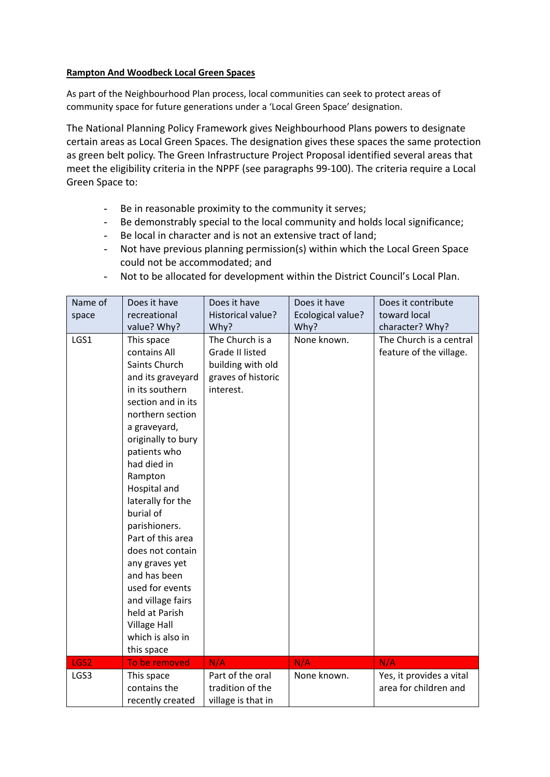## **Rampton And Woodbeck Local Green Spaces**

As part of the Neighbourhood Plan process, local communities can seek to protect areas of community space for future generations under a 'Local Green Space' designation.

The National Planning Policy Framework gives Neighbourhood Plans powers to designate certain areas as Local Green Spaces. The designation gives these spaces the same protection as green belt policy. The Green Infrastructure Project Proposal identified several areas that meet the eligibility criteria in the NPPF (see paragraphs 99-100). The criteria require a Local Green Space to:

- Be in reasonable proximity to the community it serves;
- Be demonstrably special to the local community and holds local significance;
- Be local in character and is not an extensive tract of land;
- Not have previous planning permission(s) within which the Local Green Space could not be accommodated; and
- Not to be allocated for development within the District Council's Local Plan.

| Name of | Does it have        | Does it have           | Does it have      | Does it contribute       |
|---------|---------------------|------------------------|-------------------|--------------------------|
| space   | recreational        | Historical value?      | Ecological value? | toward local             |
|         | value? Why?         | Why?                   | Why?              | character? Why?          |
| LGS1    | This space          | The Church is a        | None known.       | The Church is a central  |
|         | contains All        | <b>Grade II listed</b> |                   | feature of the village.  |
|         | Saints Church       | building with old      |                   |                          |
|         | and its graveyard   | graves of historic     |                   |                          |
|         | in its southern     | interest.              |                   |                          |
|         | section and in its  |                        |                   |                          |
|         | northern section    |                        |                   |                          |
|         | a graveyard,        |                        |                   |                          |
|         | originally to bury  |                        |                   |                          |
|         | patients who        |                        |                   |                          |
|         | had died in         |                        |                   |                          |
|         | Rampton             |                        |                   |                          |
|         | Hospital and        |                        |                   |                          |
|         | laterally for the   |                        |                   |                          |
|         | burial of           |                        |                   |                          |
|         | parishioners.       |                        |                   |                          |
|         | Part of this area   |                        |                   |                          |
|         | does not contain    |                        |                   |                          |
|         | any graves yet      |                        |                   |                          |
|         | and has been        |                        |                   |                          |
|         | used for events     |                        |                   |                          |
|         | and village fairs   |                        |                   |                          |
|         | held at Parish      |                        |                   |                          |
|         | <b>Village Hall</b> |                        |                   |                          |
|         | which is also in    |                        |                   |                          |
|         | this space          |                        |                   |                          |
| LGS2    | To be removed       | N/A                    | N/A               | N/A                      |
| LGS3    | This space          | Part of the oral       | None known.       | Yes, it provides a vital |
|         | contains the        | tradition of the       |                   | area for children and    |
|         | recently created    | village is that in     |                   |                          |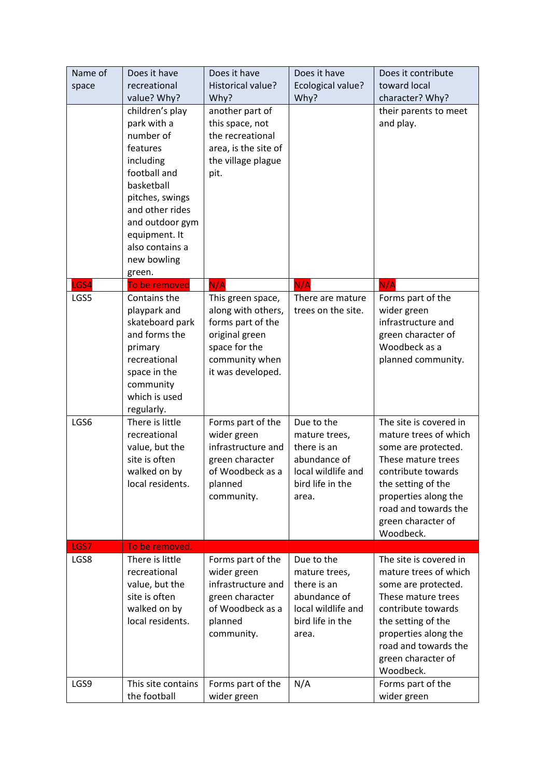| Name of<br>space | Does it have<br>recreational<br>value? Why?                                                                                                                                                                              | Does it have<br>Historical value?<br>Why?                                                                                              | Does it have<br>Ecological value?<br>Why?                                                                     | Does it contribute<br>toward local<br>character? Why?                                                                                                                                                                       |
|------------------|--------------------------------------------------------------------------------------------------------------------------------------------------------------------------------------------------------------------------|----------------------------------------------------------------------------------------------------------------------------------------|---------------------------------------------------------------------------------------------------------------|-----------------------------------------------------------------------------------------------------------------------------------------------------------------------------------------------------------------------------|
|                  | children's play<br>park with a<br>number of<br>features<br>including<br>football and<br>basketball<br>pitches, swings<br>and other rides<br>and outdoor gym<br>equipment. It<br>also contains a<br>new bowling<br>green. | another part of<br>this space, not<br>the recreational<br>area, is the site of<br>the village plague<br>pit.                           |                                                                                                               | their parents to meet<br>and play.                                                                                                                                                                                          |
| GS4              | To be removed                                                                                                                                                                                                            | N/A                                                                                                                                    | N/A                                                                                                           | N/A                                                                                                                                                                                                                         |
| LGS5             | Contains the<br>playpark and<br>skateboard park<br>and forms the<br>primary<br>recreational<br>space in the<br>community<br>which is used<br>regularly.                                                                  | This green space,<br>along with others,<br>forms part of the<br>original green<br>space for the<br>community when<br>it was developed. | There are mature<br>trees on the site.                                                                        | Forms part of the<br>wider green<br>infrastructure and<br>green character of<br>Woodbeck as a<br>planned community.                                                                                                         |
| LGS6             | There is little<br>recreational<br>value, but the<br>site is often<br>walked on by<br>local residents.                                                                                                                   | Forms part of the<br>wider green<br>infrastructure and<br>green character<br>of Woodbeck as a<br>planned<br>community.                 | Due to the<br>mature trees,<br>there is an<br>abundance of<br>local wildlife and<br>bird life in the<br>area. | The site is covered in<br>mature trees of which<br>some are protected.<br>These mature trees<br>contribute towards<br>the setting of the<br>properties along the<br>road and towards the<br>green character of<br>Woodbeck. |
| LGS7             | To be removed.                                                                                                                                                                                                           |                                                                                                                                        |                                                                                                               |                                                                                                                                                                                                                             |
| LGS8             | There is little<br>recreational<br>value, but the<br>site is often<br>walked on by<br>local residents.                                                                                                                   | Forms part of the<br>wider green<br>infrastructure and<br>green character<br>of Woodbeck as a<br>planned<br>community.                 | Due to the<br>mature trees,<br>there is an<br>abundance of<br>local wildlife and<br>bird life in the<br>area. | The site is covered in<br>mature trees of which<br>some are protected.<br>These mature trees<br>contribute towards<br>the setting of the<br>properties along the<br>road and towards the<br>green character of<br>Woodbeck. |
| LGS9             | This site contains<br>the football                                                                                                                                                                                       | Forms part of the<br>wider green                                                                                                       | N/A                                                                                                           | Forms part of the<br>wider green                                                                                                                                                                                            |